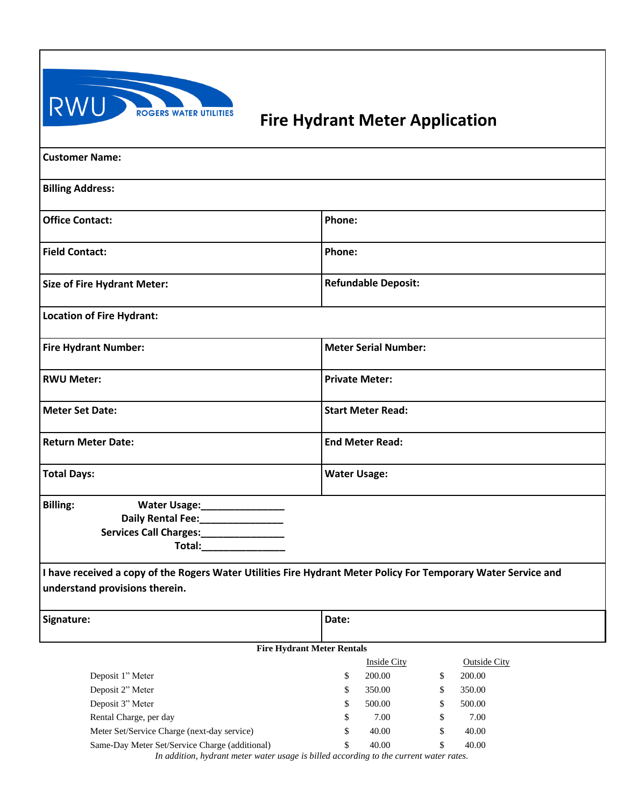

## **ROGERS WATER UTILITIES** Fire Hydrant Meter Application

| <b>Customer Name:</b>                                                                                                                                                                                                                        |                                                                                                                |
|----------------------------------------------------------------------------------------------------------------------------------------------------------------------------------------------------------------------------------------------|----------------------------------------------------------------------------------------------------------------|
| <b>Billing Address:</b>                                                                                                                                                                                                                      |                                                                                                                |
| <b>Office Contact:</b>                                                                                                                                                                                                                       | Phone:                                                                                                         |
| <b>Field Contact:</b>                                                                                                                                                                                                                        | Phone:                                                                                                         |
| <b>Size of Fire Hydrant Meter:</b>                                                                                                                                                                                                           | <b>Refundable Deposit:</b>                                                                                     |
| <b>Location of Fire Hydrant:</b>                                                                                                                                                                                                             |                                                                                                                |
| <b>Fire Hydrant Number:</b>                                                                                                                                                                                                                  | <b>Meter Serial Number:</b>                                                                                    |
| <b>RWU Meter:</b>                                                                                                                                                                                                                            | <b>Private Meter:</b>                                                                                          |
| <b>Meter Set Date:</b>                                                                                                                                                                                                                       | <b>Start Meter Read:</b>                                                                                       |
| <b>Return Meter Date:</b>                                                                                                                                                                                                                    | <b>End Meter Read:</b>                                                                                         |
| <b>Total Days:</b>                                                                                                                                                                                                                           | <b>Water Usage:</b>                                                                                            |
| <b>Billing:</b><br>Water Usage:________________<br>Daily Rental Fee:<br><u> </u><br>Services Call Charges:________________<br>Total: The control of the control of the control of the control of the control of the control of the control o |                                                                                                                |
| understand provisions therein.                                                                                                                                                                                                               | I have received a copy of the Rogers Water Utilities Fire Hydrant Meter Policy For Temporary Water Service and |
| Signature:                                                                                                                                                                                                                                   | Date:                                                                                                          |
|                                                                                                                                                                                                                                              | <b>Fire Hydrant Meter Rentals</b>                                                                              |

|                                                                                                                                        | Inside City |        |    | <b>Outside City</b> |  |
|----------------------------------------------------------------------------------------------------------------------------------------|-------------|--------|----|---------------------|--|
| Deposit 1" Meter                                                                                                                       | S           | 200.00 | \$ | 200.00              |  |
| Deposit 2" Meter                                                                                                                       | S           | 350.00 | \$ | 350.00              |  |
| Deposit 3" Meter                                                                                                                       | S           | 500.00 | S  | 500.00              |  |
| Rental Charge, per day                                                                                                                 | S           | 7.00   | \$ | 7.00                |  |
| Meter Set/Service Charge (next-day service)                                                                                            | \$          | 40.00  | \$ | 40.00               |  |
| Same-Day Meter Set/Service Charge (additional)<br>Le addition, bedoomt motor water waar is billed accoudinc to the comment water natur | S           | 40.00  | S  | 40.00               |  |

*In addition, hydrant meter water usage is billed according to the current water rates.*